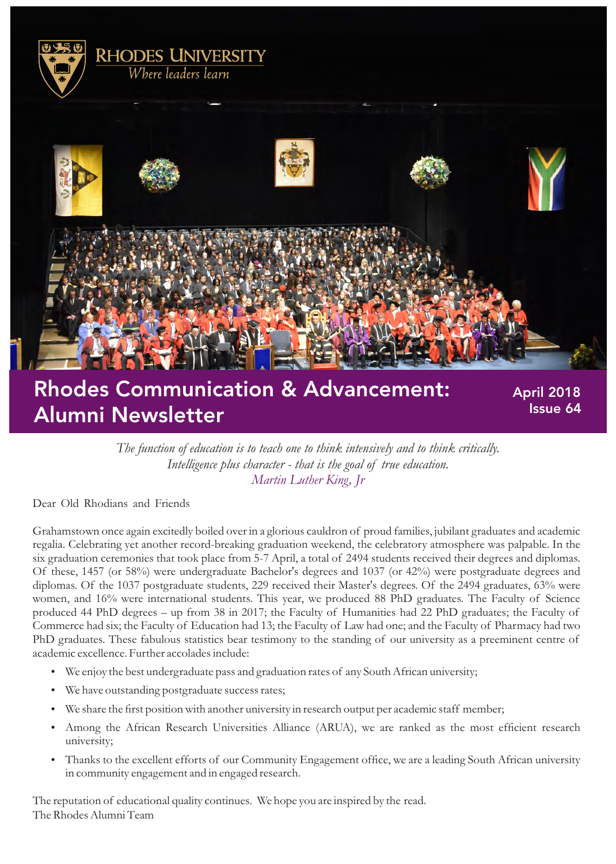

# Rhodes Communication & Advancement: Alumni Newsletter

 April 2018 Issue 64

*The function of education is to teach one to think intensively and to think critically. Intelligence plus character - that is the goal of true education. Martin Luther King, Jr*

Dear Old Rhodians and Friends

Grahamstown once again excitedly boiled over in a glorious cauldron of proud families, jubilant graduates and academic regalia. Celebrating yet another record-breaking graduation weekend, the celebratory atmosphere was palpable. In the six graduation ceremonies that took place from 5-7 April, a total of 2494 students received their degrees and diplomas. Of these, 1457 (or 58%) were undergraduate Bachelor's degrees and 1037 (or 42%) were postgraduate degrees and diplomas. Of the 1037 postgraduate students, 229 received their Master's degrees. Of the 2494 graduates, 63% were women, and 16% were international students. This year, we produced 88 PhD graduates. The Faculty of Science produced 44 PhD degrees – up from 38 in 2017; the Faculty of Humanities had 22 PhD graduates; the Faculty of Commerce had six; the Faculty of Education had 13; the Faculty of Law had one; and the Faculty of Pharmacy had two PhD graduates. These fabulous statistics bear testimony to the standing of our university as a preeminent centre of academic excellence. Further accolades include:

- We enjoy the best undergraduate pass and graduation rates of any South African university;
- We have outstanding postgraduate success rates;
- We share the first position with another university in research output per academic staff member;
- Among the African Research Universities Alliance (ARUA), we are ranked as the most efficient research university;
- Thanks to the excellent efforts of our Community Engagement office, we are a leading South African university in community engagement and in engaged research.

The reputation of educational quality continues. We hope you are inspired by the read. The Rhodes Alumni Team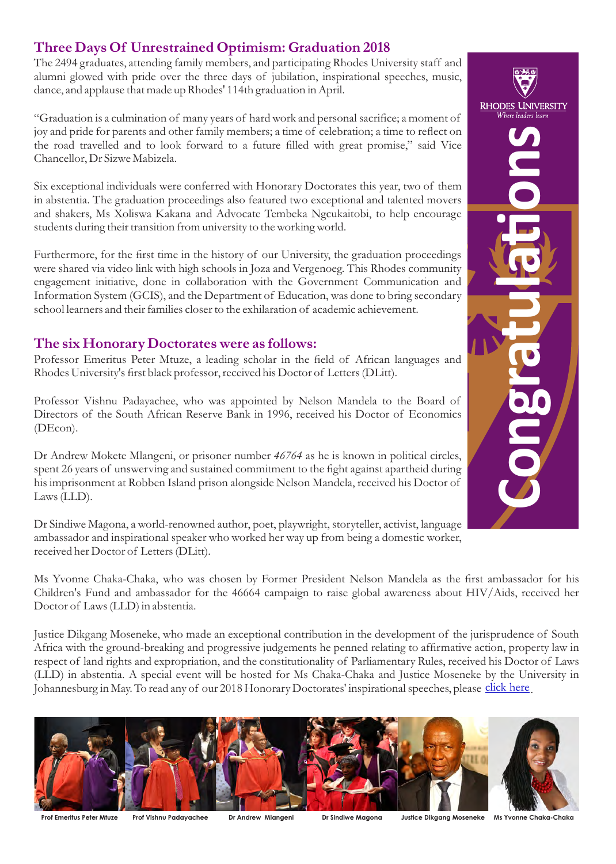# **Three Days Of Unrestrained Optimism: Graduation 2018**

The 2494 graduates, attending family members, and participating Rhodes University staff and alumni glowed with pride over the three days of jubilation, inspirational speeches, music, dance, and applause that made up Rhodes' 114th graduation in April.

"Graduation is a culmination of many years of hard work and personal sacrifice; a moment of joy and pride for parents and other family members; a time of celebration; a time to reflect on the road travelled and to look forward to a future filled with great promise," said Vice Chancellor, Dr Sizwe Mabizela.

Six exceptional individuals were conferred with Honorary Doctorates this year, two of them in abstentia. The graduation proceedings also featured two exceptional and talented movers and shakers, Ms Xoliswa Kakana and Advocate Tembeka Ngcukaitobi, to help encourage students during their transition from university to the working world.

Furthermore, for the first time in the history of our University, the graduation proceedings were shared via video link with high schools in Joza and Vergenoeg. This Rhodes community engagement initiative, done in collaboration with the Government Communication and Information System (GCIS), and the Department of Education, was done to bring secondary school learners and their families closer to the exhilaration of academic achievement.

#### **The six Honorary Doctorates were as follows:**

Professor Emeritus Peter Mtuze, a leading scholar in the field of African languages and Rhodes University's first black professor, received his Doctor of Letters (DLitt).

Professor Vishnu Padayachee, who was appointed by Nelson Mandela to the Board of Directors of the South African Reserve Bank in 1996, received his Doctor of Economics (DEcon).

Dr Andrew Mokete Mlangeni, or prisoner number *46764* as he is known in political circles, spent 26 years of unswerving and sustained commitment to the fight against apartheid during his imprisonment at Robben Island prison alongside Nelson Mandela, received his Doctor of Laws (LLD).

Dr Sindiwe Magona, a world-renowned author, poet, playwright, storyteller, activist, language ambassador and inspirational speaker who worked her way up from being a domestic worker, received her Doctor of Letters (DLitt).

Ms Yvonne Chaka-Chaka, who was chosen by Former President Nelson Mandela as the first ambassador for his Children's Fund and ambassador for the 46664 campaign to raise global awareness about HIV/Aids, received her Doctor of Laws (LLD) in abstentia.

Justice Dikgang Moseneke, who made an exceptional contribution in the development of the jurisprudence of South Africa with the ground-breaking and progressive judgements he penned relating to affirmative action, property law in respect of land rights and expropriation, and the constitutionality of Parliamentary Rules, received his Doctor of Laws (LLD) in abstentia. A special event will be hosted for Ms Chaka-Chaka and Justice Moseneke by the University in Johannesburg in May. To read any of our 2018 Honorary Doctorates' inspirational speeches, please [click here](https://www.ru.ac.za/graduationgateway/honorarydoctorates/2018/) i



**Prof Emeritus Peter Mtuze Prof Vishnu Padayachee Dr Andrew Mlangeni Dr Sindiwe Magona Justice Dikgang Moseneke Ms Yvonne Chaka-Chaka**

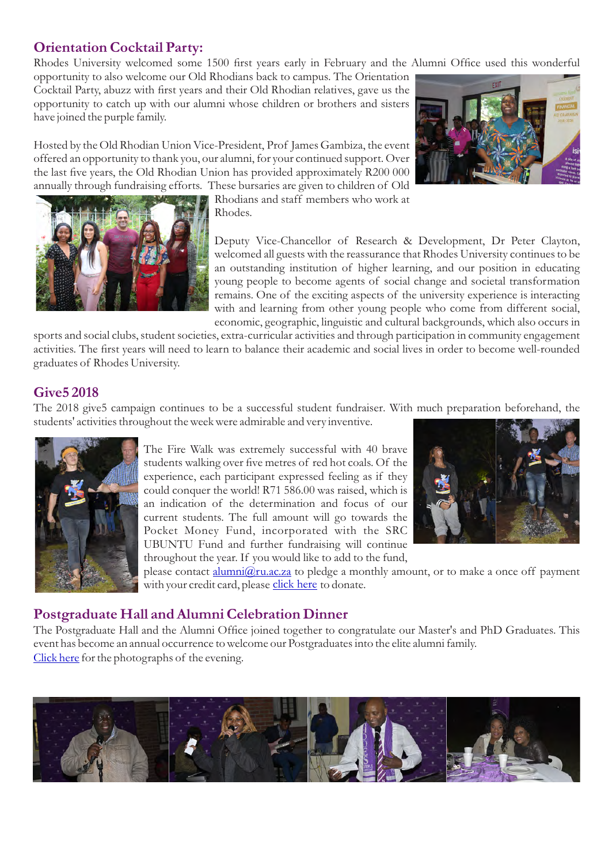## **Orientation Cocktail Party:**

Rhodes University welcomed some 1500 first years early in February and the Alumni Office used this wonderful

opportunity to also welcome our Old Rhodians back to campus. The Orientation Cocktail Party, abuzz with first years and their Old Rhodian relatives, gave us the opportunity to catch up with our alumni whose children or brothers and sisters have joined the purple family.

Hosted by the Old Rhodian Union Vice-President, Prof James Gambiza, the event offered an opportunity to thank you, our alumni, for your continued support. Over the last five years, the Old Rhodian Union has provided approximately R200 000 annually through fundraising efforts. These bursaries are given to children of Old

> Rhodians and staff members who work at Rhodes.

Deputy Vice-Chancellor of Research & Development, Dr Peter Clayton, welcomed all guests with the reassurance that Rhodes University continues to be an outstanding institution of higher learning, and our position in educating young people to become agents of social change and societal transformation remains. One of the exciting aspects of the university experience is interacting with and learning from other young people who come from different social, economic, geographic, linguistic and cultural backgrounds, which also occurs in

sports and social clubs, student societies, extra-curricular activities and through participation in community engagement activities. The first years will need to learn to balance their academic and social lives in order to become well-rounded graduates of Rhodes University.

## **Give5 2018**

The 2018 give5 campaign continues to be a successful student fundraiser. With much preparation beforehand, the students' activities throughout the week were admirable and very inventive.



The Fire Walk was extremely successful with 40 brave students walking over five metres of red hot coals. Of the experience, each participant expressed feeling as if they could conquer the world! R71 586.00 was raised, which is an indication of the determination and focus of our current students. The full amount will go towards the Pocket Money Fund, incorporated with the SRC UBUNTU Fund and further fundraising will continue throughout the year. If you would like to add to the fund,

please contact *alumni@ru.ac.za* to pledge a monthly amount, or to make a once off payment withyour credit card, please <u>click here</u> to donate.

## **Postgraduate Hall and Alumni Celebration Dinner**

The Postgraduate Hall and the Alumni Office joined together to congratulate our Master's and PhD Graduates. This event has become an annual occurrence to welcome our Postgraduates into the elite alumni family. [Click here](https://drive.google.com/drive/folders/16xbSGgyaRuO8fEEYNJhVQxamS4syJy__?usp=sharing) for the photographs of the evening.





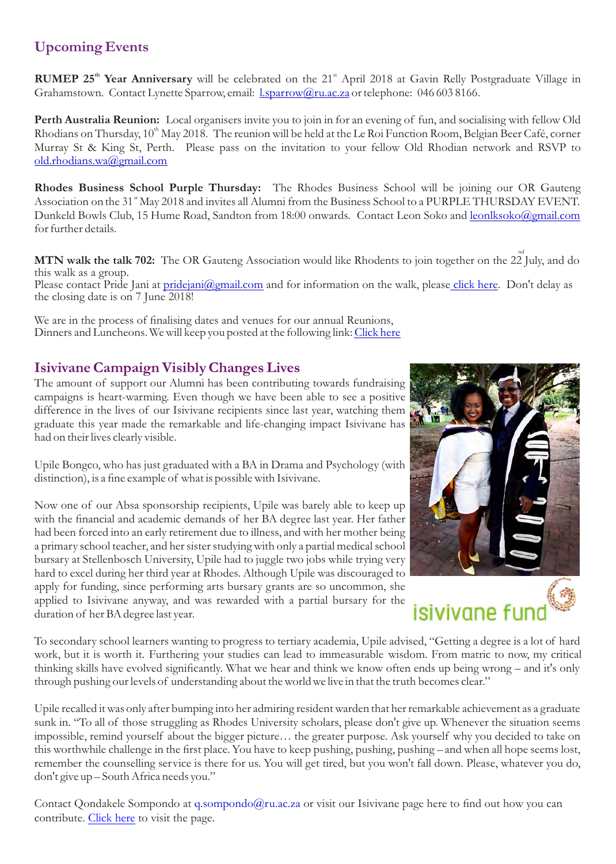# **Upcoming Events**

**RUMEP 25<sup>th</sup> Year Anniversary** will be celebrated on the 21<sup>st</sup> April 2018 at Gavin Relly Postgraduate Village in Grahamstown. Contact Lynette Sparrow, email: *l.sparrow@ru.ac.za* or telephone: 046 603 8166.

**Perth Australia Reunion:** Local organisers invite you to join in for an evening of fun, and socialising with fellow Old Rhodians on Thursday,  $10<sup>th</sup>$  May 2018. The reunion will be held at the Le Roi Function Room, Belgian Beer Café, corner Murray St & King St, Perth. Please pass on the invitation to your fellow Old Rhodian network and RSVP to old.rhodians.wa@gmail.com

**Rhodes Business School Purple Thursday:** The Rhodes Business School will be joining our OR Gauteng Association on the 31<sup>st</sup> May 2018 and invites all Alumni from the Business School to a PURPLE THURSDAY EVENT. Dunkeld Bowls Club, 15 Hume Road, Sandton from 18:00 onwards. Contact Leon Soko and leonlksoko@gmail.com for further details.

**MTN walk the talk 702:** The OR Gauteng Association would like Rhodents to join together on the 22 July, and do this walk as a group. Please contact Pride Jani at pridejani@gmail.com and for information on the walk, pleas[e click here.](http://walkthetalk.co.za/enter) Don't delay as the closing date is on 7 June 2018!

We are in the process of finalising dates and venues for our annual Reunions, Dinners and Luncheons. We will keep you posted at the following link: [Click here](http://www.ru.ac.za/communicationsandadvancement/alumnirelations/alumnievents/upcomingevents/)

## **Isivivane Campaign Visibly Changes Lives**

The amount of support our Alumni has been contributing towards fundraising campaigns is heart-warming. Even though we have been able to see a positive difference in the lives of our Isivivane recipients since last year, watching them graduate this year made the remarkable and life-changing impact Isivivane has had on their lives clearly visible.

Upile Bongco, who has just graduated with a BA in Drama and Psychology (with distinction), is a fine example of what is possible with Isivivane.

Now one of our Absa sponsorship recipients, Upile was barely able to keep up with the financial and academic demands of her BA degree last year. Her father had been forced into an early retirement due to illness, and with her mother being a primary school teacher, and her sister studying with only a partial medical school bursary at Stellenbosch University, Upile had to juggle two jobs while trying very hard to excel during her third year at Rhodes. Although Upile was discouraged to apply for funding, since performing arts bursary grants are so uncommon, she applied to Isivivane anyway, and was rewarded with a partial bursary for the duration of her BA degree last year.



To secondary school learners wanting to progress to tertiary academia, Upile advised, "Getting a degree is a lot of hard work, but it is worth it. Furthering your studies can lead to immeasurable wisdom. From matric to now, my critical thinking skills have evolved significantly. What we hear and think we know often ends up being wrong – and it's only through pushing our levels of understanding about the world we live in that the truth becomes clear."

Upile recalled it was only after bumping into her admiring resident warden that her remarkable achievement as a graduate sunk in. "To all of those struggling as Rhodes University scholars, please don't give up. Whenever the situation seems impossible, remind yourself about the bigger picture… the greater purpose. Ask yourself why you decided to take on this worthwhile challenge in the first place. You have to keep pushing, pushing, pushing – and when all hope seems lost, remember the counselling service is there for us. You will get tired, but you won't fall down. Please, whatever you do, don't give up – South Africa needs you."

Contact Qondakele Sompondo at q.sompondo@ru.ac.za or visit our Isivivane page here to find out how you can contribute. [Click here](http://www.ru.ac.za/isivivane/) to visit the page.